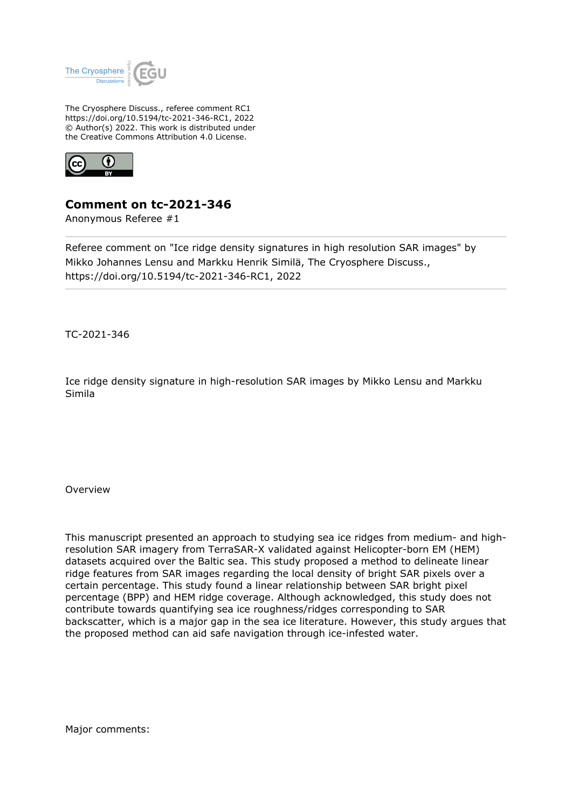

The Cryosphere Discuss., referee comment RC1 https://doi.org/10.5194/tc-2021-346-RC1, 2022 © Author(s) 2022. This work is distributed under the Creative Commons Attribution 4.0 License.



## **Comment on tc-2021-346**

Anonymous Referee #1

Referee comment on "Ice ridge density signatures in high resolution SAR images" by Mikko Johannes Lensu and Markku Henrik Similä, The Cryosphere Discuss., https://doi.org/10.5194/tc-2021-346-RC1, 2022

TC-2021-346

Ice ridge density signature in high-resolution SAR images by Mikko Lensu and Markku Simila

Overview

This manuscript presented an approach to studying sea ice ridges from medium- and highresolution SAR imagery from TerraSAR-X validated against Helicopter-born EM (HEM) datasets acquired over the Baltic sea. This study proposed a method to delineate linear ridge features from SAR images regarding the local density of bright SAR pixels over a certain percentage. This study found a linear relationship between SAR bright pixel percentage (BPP) and HEM ridge coverage. Although acknowledged, this study does not contribute towards quantifying sea ice roughness/ridges corresponding to SAR backscatter, which is a major gap in the sea ice literature. However, this study argues that the proposed method can aid safe navigation through ice-infested water.

Major comments: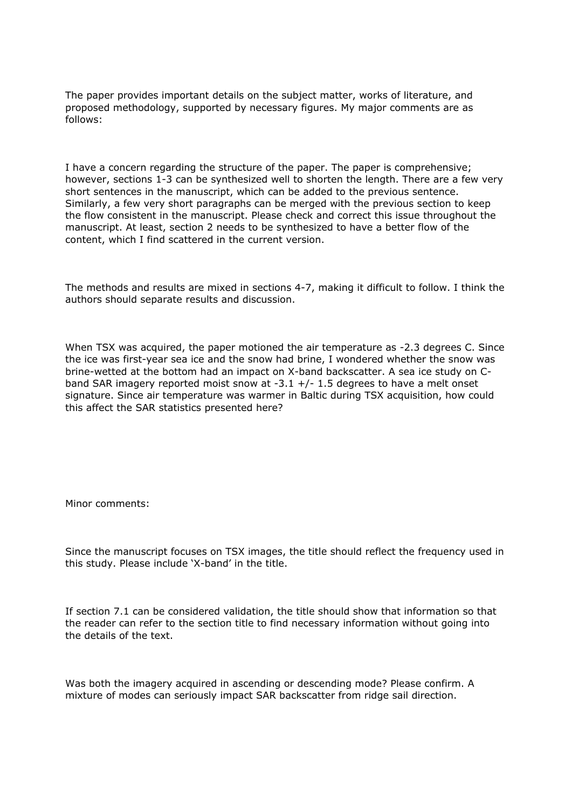The paper provides important details on the subject matter, works of literature, and proposed methodology, supported by necessary figures. My major comments are as follows:

I have a concern regarding the structure of the paper. The paper is comprehensive; however, sections 1-3 can be synthesized well to shorten the length. There are a few very short sentences in the manuscript, which can be added to the previous sentence. Similarly, a few very short paragraphs can be merged with the previous section to keep the flow consistent in the manuscript. Please check and correct this issue throughout the manuscript. At least, section 2 needs to be synthesized to have a better flow of the content, which I find scattered in the current version.

The methods and results are mixed in sections 4-7, making it difficult to follow. I think the authors should separate results and discussion.

When TSX was acquired, the paper motioned the air temperature as -2.3 degrees C. Since the ice was first-year sea ice and the snow had brine, I wondered whether the snow was brine-wetted at the bottom had an impact on X-band backscatter. A sea ice study on Cband SAR imagery reported moist snow at  $-3.1 +/- 1.5$  degrees to have a melt onset signature. Since air temperature was warmer in Baltic during TSX acquisition, how could this affect the SAR statistics presented here?

Minor comments:

Since the manuscript focuses on TSX images, the title should reflect the frequency used in this study. Please include 'X-band' in the title.

If section 7.1 can be considered validation, the title should show that information so that the reader can refer to the section title to find necessary information without going into the details of the text.

Was both the imagery acquired in ascending or descending mode? Please confirm. A mixture of modes can seriously impact SAR backscatter from ridge sail direction.